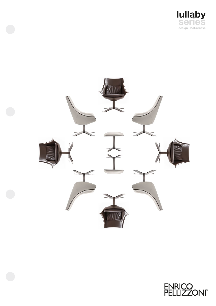



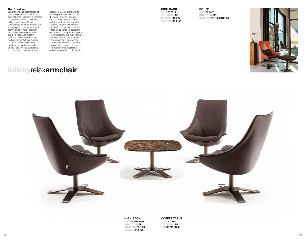## **RedCreative**

Experiencing the potentialities of hard and soft leather: this is the core of Enrico Pellizzoni, a company that can boast a long tradition in high quality manufacturing. Creative and research projects are springing up to carry matter and technologies towards product innovation. The purpose is to supply a wider and modern selection of new finishes, colors and environmentally sustainable materials to meet the multiple needs of the market in which Enrico Pellizzoni has established as a specialist in leather furniture.

Sperimentare le potenzialità di cuoio e pelle: questo è il cuore di Enrico Pellizzoni, azienda ricca di una lunga tradizione nella lavorazione di alta qualità. Nascono progetti di ricerca e creatività che declinano materia e tecnologie verso l'innovazione del prodotto. Una gamma ampliata e contemporanea di nuove finiture, colori e materiali ecosostenibili viene proposta in sintonia con le molteplici esigenze del mercato verso il quale Enrico Pellizzoni si propone come specialista nell'arredamento in cuoio e pelle.

# **lullaby**relax**armchair**

**HIGH BACK CODE25.0024 STRUCTUREBR COVERINGCPF27 CUSHIONSPPFP26** **POUFF CODE60.0025 STRUCTUREBR COVERINGPPFP26+CTT203**





#### **HIGH BACK CODE25.0024PAD STRUCTUREBR COVERINGPPFP29 CUSHIONPPFP29**

**COFFEE TABLE CODE40.0801 STRUCTUREBR TOPEM MARBLE**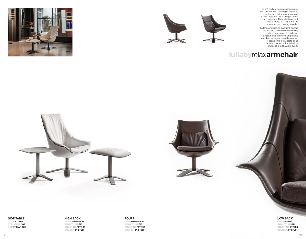The soft and enveloping shapes joined with the precious stitching of the back, make this armchair a very armonious product: a perfect union of ergonomics and elegance. The metal basement gives brilliance and highlights the preciousness of covering material.

Le forme morbide ed avvolgenti insieme alle cuciture preziose dello schienale, rendono questa seduta di design decisamente armonica: un perfetto equilibrio fra ergonomia ed eleganza. Il basamento metallizzato dona lucentezza e accentua la finitura materica e ovattata del cuoio.



# **lullaby**relax**armchair**





**SIDE TABLE CODE40.0800 STRUCTUREGF TOPST MARBLE** **HIGH BACK CODE25.0024PAD STRUCTUREGF COVERINGPPFP02 CUSHIONPPFP02**

**POUFF CODE60.0025PAD STRUCTUREGF COVERINGPPFP02 CUSHIONPPFP02**

# **LOW BACK CODE25.0023**

**STRUCTUREBR COVERINGCTT203 CUSHIONPPFP29**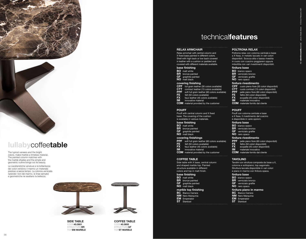



# **lullaby**coffee**table**

The typical veneers and the bright colors, make marble a timeless material. The painted column matches with the marble shades and the simple and geometric outline brings out its beauty.

Le caratteristiche venature e la brillantezza dei colori rendono il marmo un materiale prezioso e senza tempo. La colonna verniciata riprende i toni del marmo, le linee semplici e geometriche ne esaltano la bellezza.



**SIDE TABLE CODE40.0801 STRUCTUREBR TOPEM MARBLE**



# technical**features**

#### **RELAX ARMCHAIR**

Relax armchair with central column and X fixed base painted in different colors. Shell with high back or low back covered in leather with a cushion or padded and covered with different materials available.

#### **base finishing**

**BO** matt white **BR** bronze painted<br>**GF** *graphite painted* graphite painted **NO** matt black

# **covering finishing**

- **CPF** full grain leather (30 colors available)
- **CTT** contract leather (15 colors available)
- **PPF** soft full grain leather (60 colors available)<br> **FE** felt (50 colors available)
- 
- **FE** felt (50 colors available)<br> **FX** faux leather (45 colors a<br> **IM** innovative material faux leather (45 colors available)
- 
- **Innovative material COM** material provided by the customer
- 

#### **POUFF**

Pouff with central column and X fixed base. The covering of the cushion is available in various materials.

## **base finishing**

- **BO** matt white **BR** bronze painted
- **GF** graphite painted
- **NO** matt black

#### **covering finishings**

- **PPF** soft full grain leather (60 colors available )
- FE felt (50 colors available)

- **FX** faux leather (45 colors available)
- **IM** innovative material
- **COM** material provided by the customer

#### **COFFEE TABLE**

Side table with X base, central column and shaped marble top. Painted structure available in different colors and top in matt finish.

### **base finishing**

- **BO** matt white
- **BR** bronze painted **GF** graphite painted
- **NO** matt black

#### **marble top finishing**

- **BC** Bianco Carrara **NM** Nero Marquinia
- **EM** Emperador
- **ST** Stardust

#### **POLTRONA RELAX**

Poltrona relax con colonna centrale e base a X fissa, in metallo laccato in vari colori disponibili. Scocca alta o bassa rivestita in cuoio con cuscino poggiareni oppure imbottita con vari rivestimenti disponibili.

© Enrico Pellizzoni, 2021

photo: Studio Eleven

.<br>a

#### **finitura base**

- 
- **CPF** cuoio pieno fiore (30 colori disponibili )
- **CTT** cuoio contract (15 colori disponibili)<br> **PPF** pelle pieno fiore (60 colori disponibili
- **PPF** pelle pieno fiore (60 colori disponibili)<br>**FE** feltro (50 colori disponibili)
- **FE** feltro (50 colori disponibili)
- **FX** ecopelle (45 colori disponibili)<br>**IM** materiale innovativo
- **IMA** materiale innovativo
- **COM** materiale fornito dal cliente

#### **POUFF**

- Pouff con colonna centrale e base
- a X fissa. Il rivestimento del cuscino
- è disponibile in varie opzioni.

### **finitura base**

- **BO** bianco opaco
- **BR** verniciato bronzo
- **GF** verniciato grafite
- **NO** nero opaco

#### **finitura rivestimento**

- PPF pelle pieno fiore (60 colori disponibili)
- **FE** feltro (50 colori disponibili)<br>**FX** ecopelle (45 colori disponiti
- **Fixal ecopelle (45 colori disponibili)**
- **IM** materiale innovativo
- **COM** materiale fornito dal cliente

#### **TAVOLINO**

Tavolini con struttura composta da base a X, colonna e sottopiano; top sagomato. Struttura laccata disponibile in vari colori e piano in marmo con finitura opaca.

## **finitura base**

- **BO** bianco opaco **BR** verniciato bronzo
- **GF** verniciato grafite **NO** nero opaco

#### **finitura piano in marmo**

- **BC** Bianco Carrara
- **NM** Nero Marquinia **EM** Emperador
- 
- **ST** Stardust<br>………………………………………